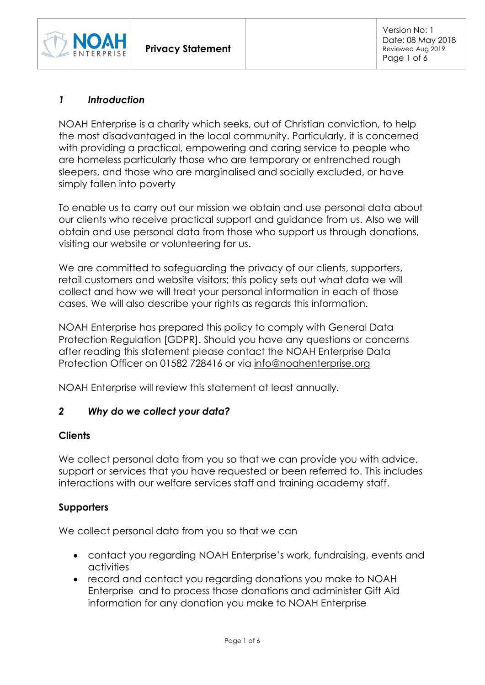

# *1 Introduction*

NOAH Enterprise is a charity which seeks, out of Christian conviction, to help the most disadvantaged in the local community. Particularly, it is concerned with providing a practical, empowering and caring service to people who are homeless particularly those who are temporary or entrenched rough sleepers, and those who are marginalised and socially excluded, or have simply fallen into poverty

To enable us to carry out our mission we obtain and use personal data about our clients who receive practical support and guidance from us. Also we will obtain and use personal data from those who support us through donations, visiting our website or volunteering for us.

We are committed to safeguarding the privacy of our clients, supporters, retail customers and website visitors; this policy sets out what data we will collect and how we will treat your personal information in each of those cases. We will also describe your rights as regards this information.

NOAH Enterprise has prepared this policy to comply with General Data Protection Regulation [GDPR]. Should you have any questions or concerns after reading this statement please contact the NOAH Enterprise Data Protection Officer on 01582 728416 or via [info@noahenterprise.org](mailto:info@noahenterprise.org)

NOAH Enterprise will review this statement at least annually.

## *2 Why do we collect your data?*

## **Clients**

We collect personal data from you so that we can provide you with advice, support or services that you have requested or been referred to. This includes interactions with our welfare services staff and training academy staff.

## **Supporters**

We collect personal data from you so that we can

- contact you regarding NOAH Enterprise's work, fundraising, events and activities
- record and contact you regarding donations you make to NOAH Enterprise and to process those donations and administer Gift Aid information for any donation you make to NOAH Enterprise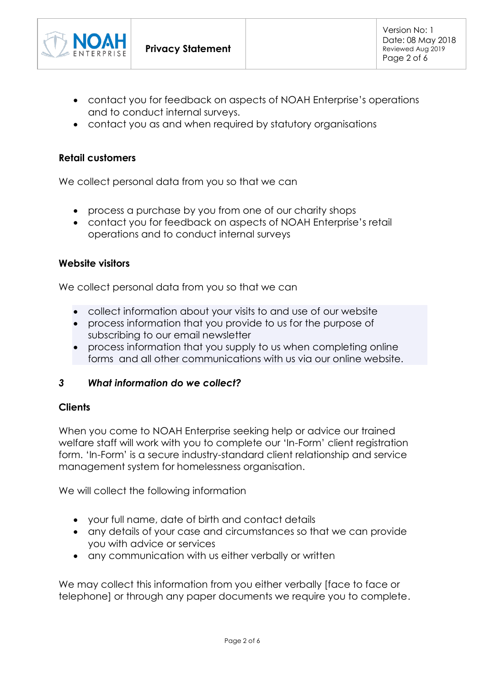

- contact you for feedback on aspects of NOAH Enterprise's operations and to conduct internal surveys.
- contact you as and when required by statutory organisations

## **Retail customers**

We collect personal data from you so that we can

- process a purchase by you from one of our charity shops
- contact you for feedback on aspects of NOAH Enterprise's retail operations and to conduct internal surveys

## **Website visitors**

We collect personal data from you so that we can

- collect information about your visits to and use of our website
- process information that you provide to us for the purpose of subscribing to our email newsletter
- process information that you supply to us when completing online forms and all other communications with us via our online website.

# *3 What information do we collect?*

## **Clients**

When you come to NOAH Enterprise seeking help or advice our trained welfare staff will work with you to complete our 'In-Form' client registration form. 'In-Form' is a secure industry-standard client relationship and service management system for homelessness organisation.

We will collect the following information

- your full name, date of birth and contact details
- any details of your case and circumstances so that we can provide you with advice or services
- any communication with us either verbally or written

We may collect this information from you either verbally [face to face or telephone] or through any paper documents we require you to complete.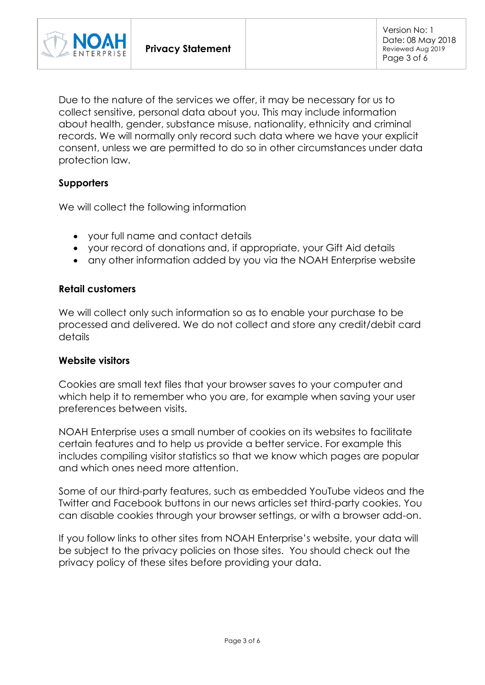

Due to the nature of the services we offer, it may be necessary for us to collect sensitive, personal data about you. This may include information about health, gender, substance misuse, nationality, ethnicity and criminal records. We will normally only record such data where we have your explicit consent, unless we are permitted to do so in other circumstances under data protection law.

### **Supporters**

We will collect the following information

- your full name and contact details
- your record of donations and, if appropriate, your Gift Aid details
- any other information added by you via the NOAH Enterprise website

#### **Retail customers**

We will collect only such information so as to enable your purchase to be processed and delivered. We do not collect and store any credit/debit card details

#### **Website visitors**

Cookies are small text files that your browser saves to your computer and which help it to remember who you are, for example when saving your user preferences between visits.

NOAH Enterprise uses a small number of cookies on its websites to facilitate certain features and to help us provide a better service. For example this includes compiling visitor statistics so that we know which pages are popular and which ones need more attention.

Some of our third-party features, such as embedded YouTube videos and the Twitter and Facebook buttons in our news articles set third-party cookies. You can disable cookies through your browser settings, or with a browser add-on.

If you follow links to other sites from NOAH Enterprise's website, your data will be subject to the privacy policies on those sites. You should check out the privacy policy of these sites before providing your data.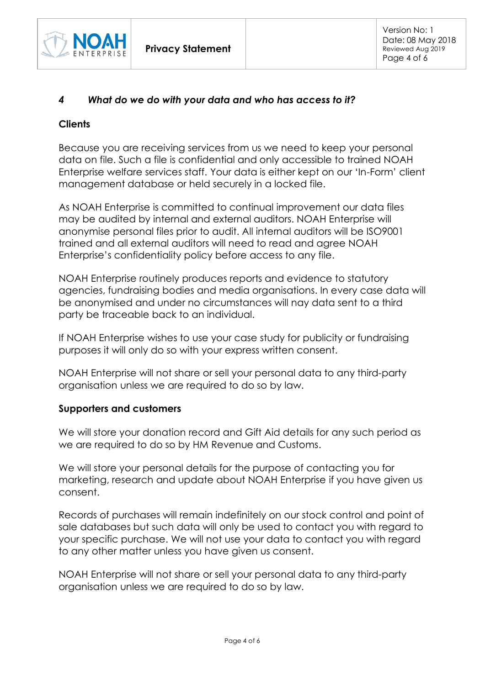

# *4 What do we do with your data and who has access to it?*

### **Clients**

Because you are receiving services from us we need to keep your personal data on file. Such a file is confidential and only accessible to trained NOAH Enterprise welfare services staff. Your data is either kept on our 'In-Form' client management database or held securely in a locked file.

As NOAH Enterprise is committed to continual improvement our data files may be audited by internal and external auditors. NOAH Enterprise will anonymise personal files prior to audit. All internal auditors will be ISO9001 trained and all external auditors will need to read and agree NOAH Enterprise's confidentiality policy before access to any file.

NOAH Enterprise routinely produces reports and evidence to statutory agencies, fundraising bodies and media organisations. In every case data will be anonymised and under no circumstances will nay data sent to a third party be traceable back to an individual.

If NOAH Enterprise wishes to use your case study for publicity or fundraising purposes it will only do so with your express written consent.

NOAH Enterprise will not share or sell your personal data to any third-party organisation unless we are required to do so by law.

## **Supporters and customers**

We will store your donation record and Gift Aid details for any such period as we are required to do so by HM Revenue and Customs.

We will store your personal details for the purpose of contacting you for marketing, research and update about NOAH Enterprise if you have given us consent.

Records of purchases will remain indefinitely on our stock control and point of sale databases but such data will only be used to contact you with regard to your specific purchase. We will not use your data to contact you with regard to any other matter unless you have given us consent.

NOAH Enterprise will not share or sell your personal data to any third-party organisation unless we are required to do so by law.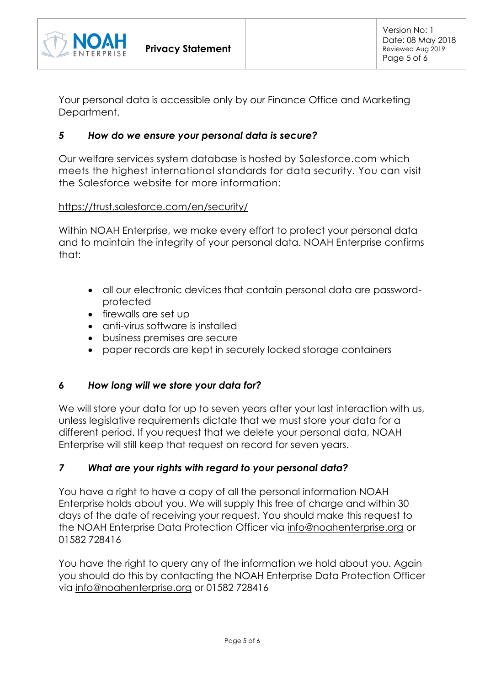

Your personal data is accessible only by our Finance Office and Marketing Department.

## *5 How do we ensure your personal data is secure?*

Our welfare services system database is hosted by Salesforce.com which meets the highest international standards for data security. You can visit the Salesforce website for more information:

### <https://trust.salesforce.com/en/security/>

Within NOAH Enterprise, we make every effort to protect your personal data and to maintain the integrity of your personal data. NOAH Enterprise confirms that:

- all our electronic devices that contain personal data are passwordprotected
- firewalls are set up
- anti-virus software is installed
- business premises are secure
- paper records are kept in securely locked storage containers

## *6 How long will we store your data for?*

We will store your data for up to seven years after your last interaction with us, unless legislative requirements dictate that we must store your data for a different period. If you request that we delete your personal data, NOAH Enterprise will still keep that request on record for seven years.

## *7 What are your rights with regard to your personal data?*

You have a right to have a copy of all the personal information NOAH Enterprise holds about you. We will supply this free of charge and within 30 days of the date of receiving your request. You should make this request to the NOAH Enterprise Data Protection Officer via [info@noahenterprise.org](mailto:info@noahenterprise.org) or 01582 728416

You have the right to query any of the information we hold about you. Again you should do this by contacting the NOAH Enterprise Data Protection Officer via [info@noahenterprise.org](mailto:info@noahenterprise.org) or 01582 728416